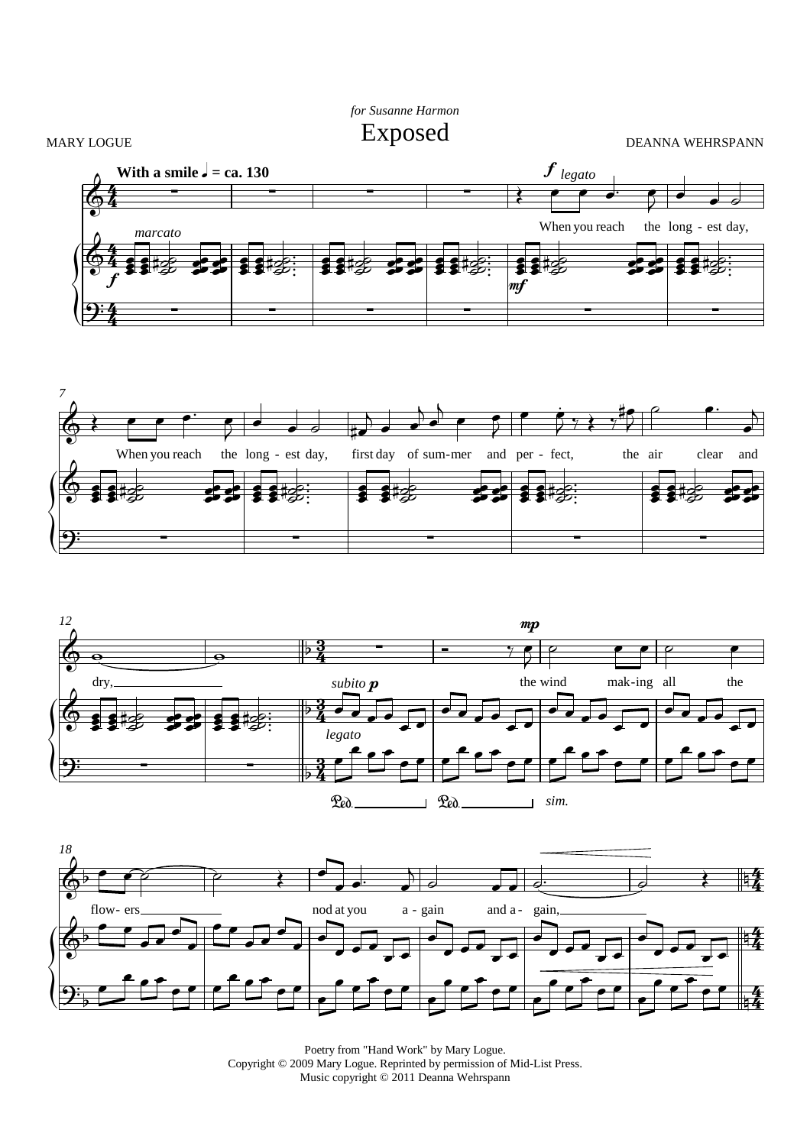## *for Susanne Harmon* Exposed

MARY LOGUE











Poetry from "Hand Work" by Mary Logue. Copyright © 2009 Mary Logue. Reprinted by permission of Mid-List Press. Music copyright © 2011 Deanna Wehrspann